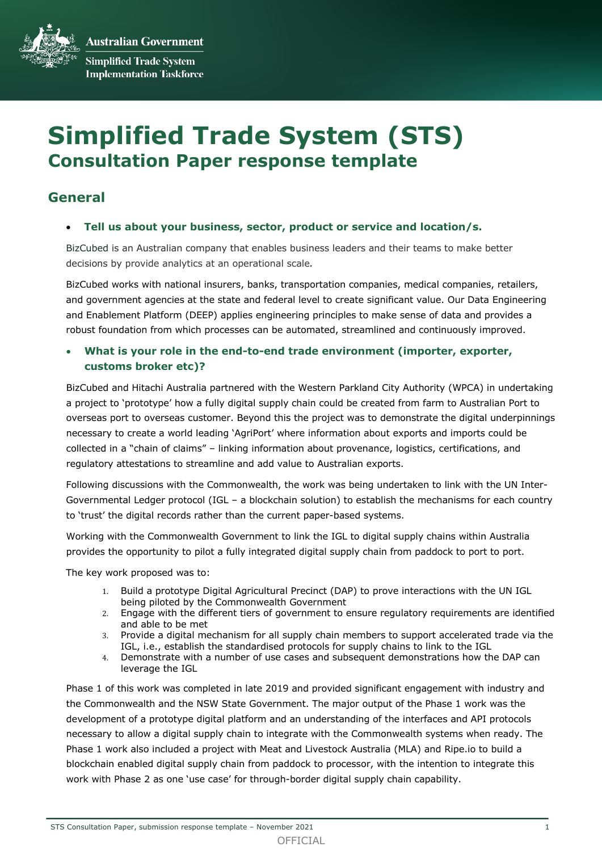**Australian Government Simplified Trade System Implementation Taskforce** 

# **Simplified Trade System (STS) Consultation Paper response template**

# **General**

#### • **Tell us about your business, sector, product or service and location/s.**

BizCubed is an Australian company that enables business leaders and their teams to make better decisions by provide analytics at an operational scale*.*

BizCubed works with national insurers, banks, transportation companies, medical companies, retailers, and government agencies at the state and federal level to create significant value. Our Data Engineering and Enablement Platform (DEEP) applies engineering principles to make sense of data and provides a robust foundation from which processes can be automated, streamlined and continuously improved.

### • **What is your role in the end-to-end trade environment (importer, exporter, customs broker etc)?**

BizCubed and Hitachi Australia partnered with the Western Parkland City Authority (WPCA) in undertaking a project to 'prototype' how a fully digital supply chain could be created from farm to Australian Port to overseas port to overseas customer. Beyond this the project was to demonstrate the digital underpinnings necessary to create a world leading 'AgriPort' where information about exports and imports could be collected in a "chain of claims" – linking information about provenance, logistics, certifications, and regulatory attestations to streamline and add value to Australian exports.

Following discussions with the Commonwealth, the work was being undertaken to link with the UN Inter-Governmental Ledger protocol (IGL – a blockchain solution) to establish the mechanisms for each country to 'trust' the digital records rather than the current paper-based systems.

Working with the Commonwealth Government to link the IGL to digital supply chains within Australia provides the opportunity to pilot a fully integrated digital supply chain from paddock to port to port.

The key work proposed was to:

- 1. Build a prototype Digital Agricultural Precinct (DAP) to prove interactions with the UN IGL being piloted by the Commonwealth Government
- 2. Engage with the different tiers of government to ensure regulatory requirements are identified and able to be met
- 3. Provide a digital mechanism for all supply chain members to support accelerated trade via the IGL, i.e., establish the standardised protocols for supply chains to link to the IGL
- 4. Demonstrate with a number of use cases and subsequent demonstrations how the DAP can leverage the IGL

Phase 1 of this work was completed in late 2019 and provided significant engagement with industry and the Commonwealth and the NSW State Government. The major output of the Phase 1 work was the development of a prototype digital platform and an understanding of the interfaces and API protocols necessary to allow a digital supply chain to integrate with the Commonwealth systems when ready. The Phase 1 work also included a project with Meat and Livestock Australia (MLA) and Ripe.io to build a blockchain enabled digital supply chain from paddock to processor, with the intention to integrate this work with Phase 2 as one 'use case' for through-border digital supply chain capability.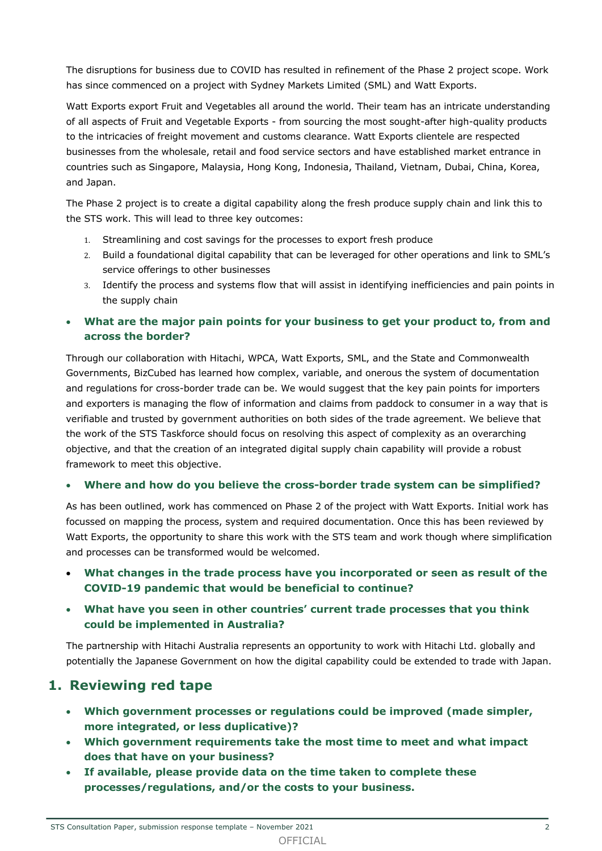The disruptions for business due to COVID has resulted in refinement of the Phase 2 project scope. Work has since commenced on a project with Sydney Markets Limited (SML) and Watt Exports.

Watt Exports export Fruit and Vegetables all around the world. Their team has an intricate understanding of all aspects of Fruit and Vegetable Exports - from sourcing the most sought-after high-quality products to the intricacies of freight movement and customs clearance. Watt Exports clientele are respected businesses from the wholesale, retail and food service sectors and have established market entrance in countries such as Singapore, Malaysia, Hong Kong, Indonesia, Thailand, Vietnam, Dubai, China, Korea, and Japan.

The Phase 2 project is to create a digital capability along the fresh produce supply chain and link this to the STS work. This will lead to three key outcomes:

- 1. Streamlining and cost savings for the processes to export fresh produce
- 2. Build a foundational digital capability that can be leveraged for other operations and link to SML's service offerings to other businesses
- 3. Identify the process and systems flow that will assist in identifying inefficiencies and pain points in the supply chain
- **What are the major pain points for your business to get your product to, from and across the border?**

Through our collaboration with Hitachi, WPCA, Watt Exports, SML, and the State and Commonwealth Governments, BizCubed has learned how complex, variable, and onerous the system of documentation and regulations for cross-border trade can be. We would suggest that the key pain points for importers and exporters is managing the flow of information and claims from paddock to consumer in a way that is verifiable and trusted by government authorities on both sides of the trade agreement. We believe that the work of the STS Taskforce should focus on resolving this aspect of complexity as an overarching objective, and that the creation of an integrated digital supply chain capability will provide a robust framework to meet this objective.

#### • **Where and how do you believe the cross-border trade system can be simplified?**

As has been outlined, work has commenced on Phase 2 of the project with Watt Exports. Initial work has focussed on mapping the process, system and required documentation. Once this has been reviewed by Watt Exports, the opportunity to share this work with the STS team and work though where simplification and processes can be transformed would be welcomed.

- **What changes in the trade process have you incorporated or seen as result of the COVID-19 pandemic that would be beneficial to continue?**
- **What have you seen in other countries' current trade processes that you think could be implemented in Australia?**

The partnership with Hitachi Australia represents an opportunity to work with Hitachi Ltd. globally and potentially the Japanese Government on how the digital capability could be extended to trade with Japan.

### **1. Reviewing red tape**

- **Which government processes or regulations could be improved (made simpler, more integrated, or less duplicative)?**
- **Which government requirements take the most time to meet and what impact does that have on your business?**
- **If available, please provide data on the time taken to complete these processes/regulations, and/or the costs to your business.**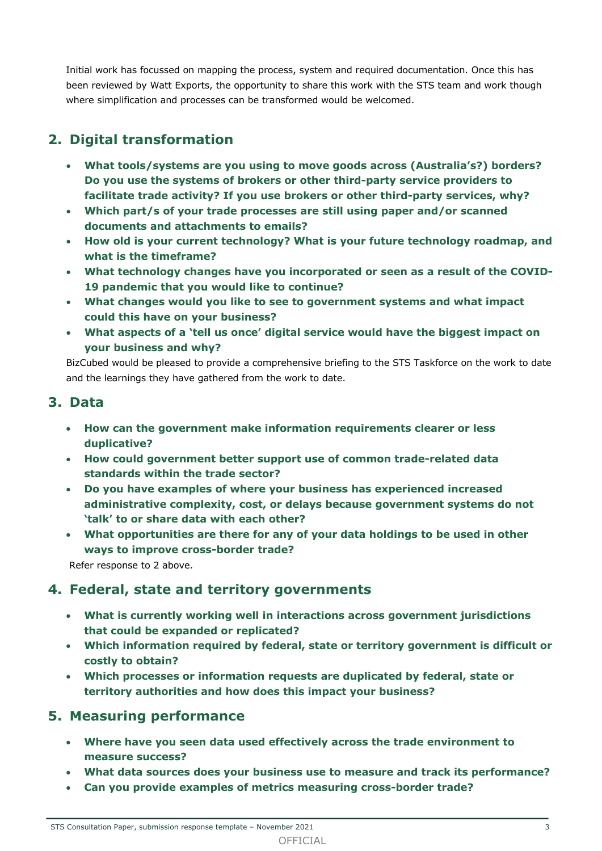Initial work has focussed on mapping the process, system and required documentation. Once this has been reviewed by Watt Exports, the opportunity to share this work with the STS team and work though where simplification and processes can be transformed would be welcomed.

# **2. Digital transformation**

- **What tools/systems are you using to move goods across (Australia's?) borders? Do you use the systems of brokers or other third-party service providers to facilitate trade activity? If you use brokers or other third-party services, why?**
- **Which part/s of your trade processes are still using paper and/or scanned documents and attachments to emails?**
- **How old is your current technology? What is your future technology roadmap, and what is the timeframe?**
- **What technology changes have you incorporated or seen as a result of the COVID-19 pandemic that you would like to continue?**
- **What changes would you like to see to government systems and what impact could this have on your business?**
- **What aspects of a 'tell us once' digital service would have the biggest impact on your business and why?**

BizCubed would be pleased to provide a comprehensive briefing to the STS Taskforce on the work to date and the learnings they have gathered from the work to date.

### **3. Data**

- **How can the government make information requirements clearer or less duplicative?**
- **How could government better support use of common trade-related data standards within the trade sector?**
- **Do you have examples of where your business has experienced increased administrative complexity, cost, or delays because government systems do not 'talk' to or share data with each other?**
- **What opportunities are there for any of your data holdings to be used in other ways to improve cross-border trade?**

Refer response to 2 above.

# **4. Federal, state and territory governments**

- **What is currently working well in interactions across government jurisdictions that could be expanded or replicated?**
- **Which information required by federal, state or territory government is difficult or costly to obtain?**
- **Which processes or information requests are duplicated by federal, state or territory authorities and how does this impact your business?**

# **5. Measuring performance**

- **Where have you seen data used effectively across the trade environment to measure success?**
- **What data sources does your business use to measure and track its performance?**
- **Can you provide examples of metrics measuring cross-border trade?**